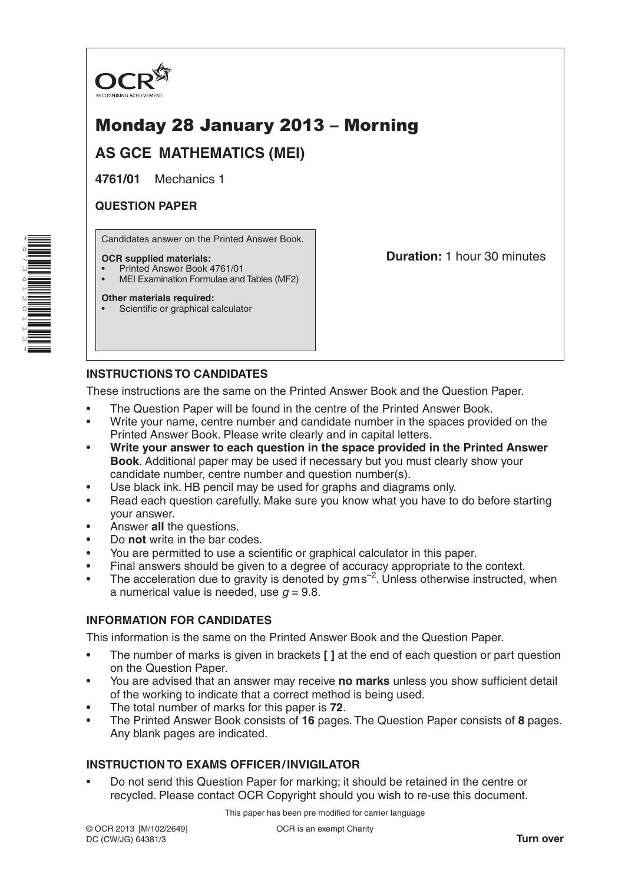

# Monday 28 January 2013 – Morning

**AS GCE MATHEMATICS (MEI)**

**4761/01** Mechanics 1

## **QUESTION PAPER**

\*4 $\overline{\phantom{a}}$ W 41N, 011ω \* Candidates answer on the Printed Answer Book.

#### **OCR supplied materials:**

- Printed Answer Book 4761/01
- MEI Examination Formulae and Tables (MF2)

#### **Other materials required:**

Scientific or graphical calculator

**Duration:** 1 hour 30 minutes

# **INSTRUCTIONS TO CANDIDATES**

These instructions are the same on the Printed Answer Book and the Question Paper.

- The Question Paper will be found in the centre of the Printed Answer Book.
- Write your name, centre number and candidate number in the spaces provided on the Printed Answer Book. Please write clearly and in capital letters.
- **Write your answer to each question in the space provided in the Printed Answer Book**. Additional paper may be used if necessary but you must clearly show your candidate number, centre number and question number(s).
- Use black ink. HB pencil may be used for graphs and diagrams only.
- Read each question carefully. Make sure you know what you have to do before starting your answer.
- Answer **all** the questions.
- Do **not** write in the bar codes.
- You are permitted to use a scientific or graphical calculator in this paper.
- Final answers should be given to a degree of accuracy appropriate to the context.
- The acceleration due to gravity is denoted by  $g$ ms<sup>-2</sup>. Unless otherwise instructed, when a numerical value is needed, use  $q = 9.8$ .

#### **INFORMATION FOR CANDIDATES**

This information is the same on the Printed Answer Book and the Question Paper.

- The number of marks is given in brackets **[ ]** at the end of each question or part question on the Question Paper.
- You are advised that an answer may receive **no marks** unless you show sufficient detail of the working to indicate that a correct method is being used.
- The total number of marks for this paper is **72**.
- The Printed Answer Book consists of **16** pages. The Question Paper consists of **8** pages. Any blank pages are indicated.

# **INSTRUCTION TO EXAMS OFFICER/INVIGILATOR**

• Do not send this Question Paper for marking; it should be retained in the centre or recycled. Please contact OCR Copyright should you wish to re-use this document.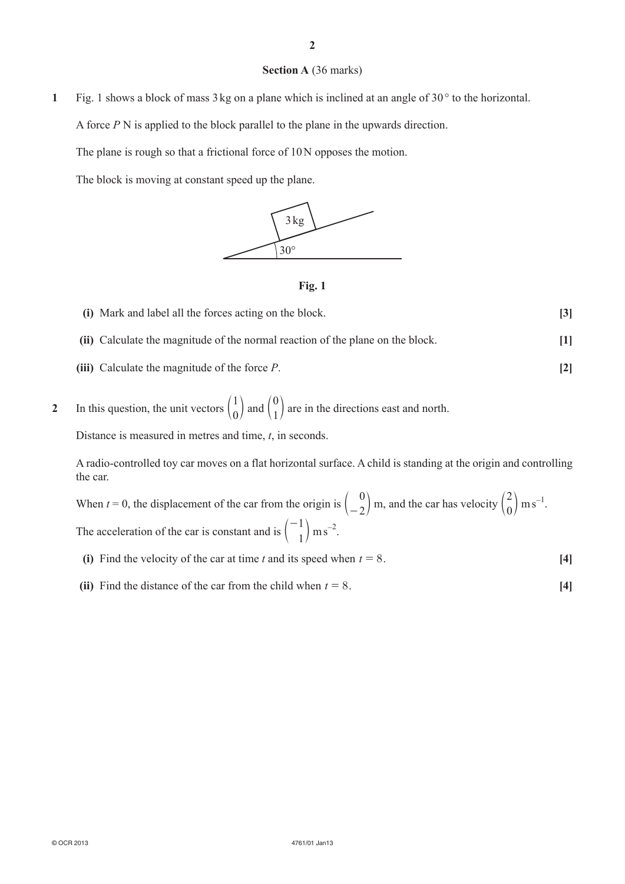### **Section A** (36 marks)

**1** Fig. 1 shows a block of mass 3 kg on a plane which is inclined at an angle of 30° to the horizontal.

A force *P* N is applied to the block parallel to the plane in the upwards direction.

The plane is rough so that a frictional force of 10N opposes the motion.

The block is moving at constant speed up the plane.





**(i)** Mark and label all the forces acting on the block. **[3] (ii)** Calculate the magnitude of the normal reaction of the plane on the block. **[1] (iii)** Calculate the magnitude of the force *P*. **[2]**

**2** In this question, the unit vectors  $\begin{pmatrix} 1 \\ 0 \end{pmatrix}$  and  $\begin{pmatrix} 0 \\ 1 \end{pmatrix}$  are in the directions east and north.

Distance is measured in metres and time, *t*, in seconds.

A radio-controlled toy car moves on a flat horizontal surface. A child is standing at the origin and controlling the car.

When *t* = 0, the displacement of the car from the origin is  $\begin{pmatrix} 0 \\ -2 \end{pmatrix}$  m, and the car has velocity  $\begin{pmatrix} 2 \\ 0 \end{pmatrix}$  m s<sup>-1</sup>. The acceleration of the car is constant and is  $\begin{pmatrix} -1 \\ 1 \end{pmatrix}$  $\binom{-1}{1}$  m s<sup>-2</sup>.

- **(i)** Find the velocity of the car at time *t* and its speed when  $t = 8$ . **[4]**
- **(ii)** Find the distance of the car from the child when  $t = 8$ . **[4]**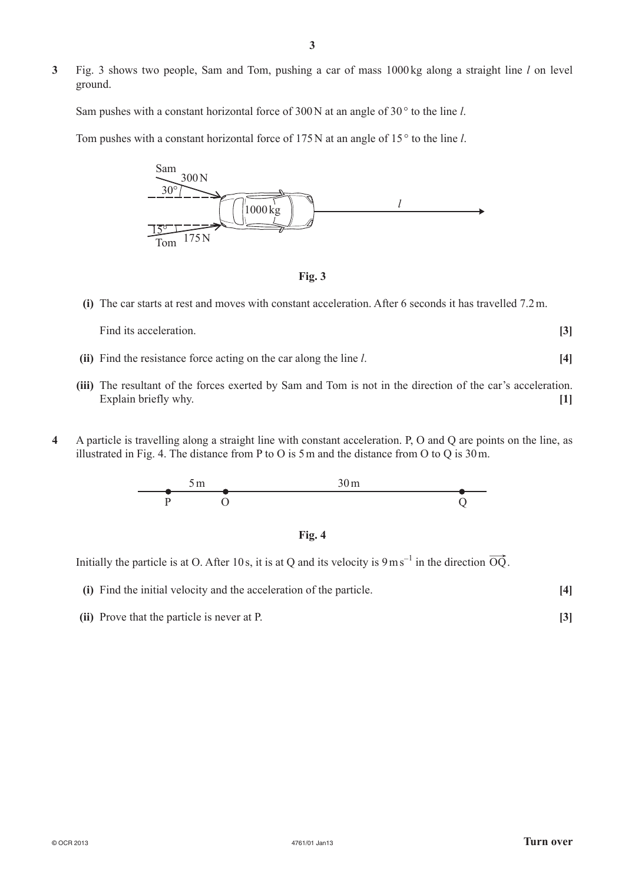**3** Fig. 3 shows two people, Sam and Tom, pushing a car of mass 1000 kg along a straight line *l* on level ground.

Sam pushes with a constant horizontal force of 300N at an angle of 30 ° to the line *l*.

Tom pushes with a constant horizontal force of 175N at an angle of 15° to the line *l*.



**Fig. 3**

**(i)** The car starts at rest and moves with constant acceleration. After 6 seconds it has travelled 7.2m.

Find its acceleration. **[3]**

- **(ii)** Find the resistance force acting on the car along the line *l*. **[4]**
- **(iii)** The resultant of the forces exerted by Sam and Tom is not in the direction of the car's acceleration. Explain briefly why. **[1]**
- **4** A particle is travelling along a straight line with constant acceleration. P, O and Q are points on the line, as illustrated in Fig. 4. The distance from P to O is 5m and the distance from O to Q is 30m.





Initially the particle is at O. After 10s, it is at Q and its velocity is  $9 \text{ ms}^{-1}$  in the direction  $\overrightarrow{OQ}$ .

- **(i)** Find the initial velocity and the acceleration of the particle. **[4]**
- **(ii)** Prove that the particle is never at P. **[3]**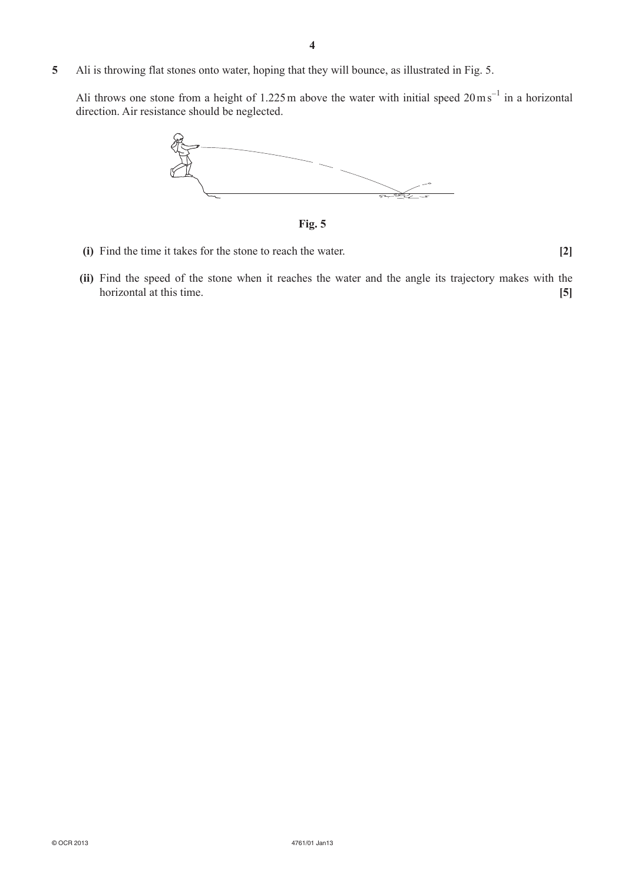**5** Ali is throwing flat stones onto water, hoping that they will bounce, as illustrated in Fig. 5.

Ali throws one stone from a height of 1.225 m above the water with initial speed  $20 \text{ m s}^{-1}$  in a horizontal direction. Air resistance should be neglected.



**Fig. 5**

**(i)** Find the time it takes for the stone to reach the water. **[2]**

**(ii)** Find the speed of the stone when it reaches the water and the angle its trajectory makes with the horizontal at this time. **[5]**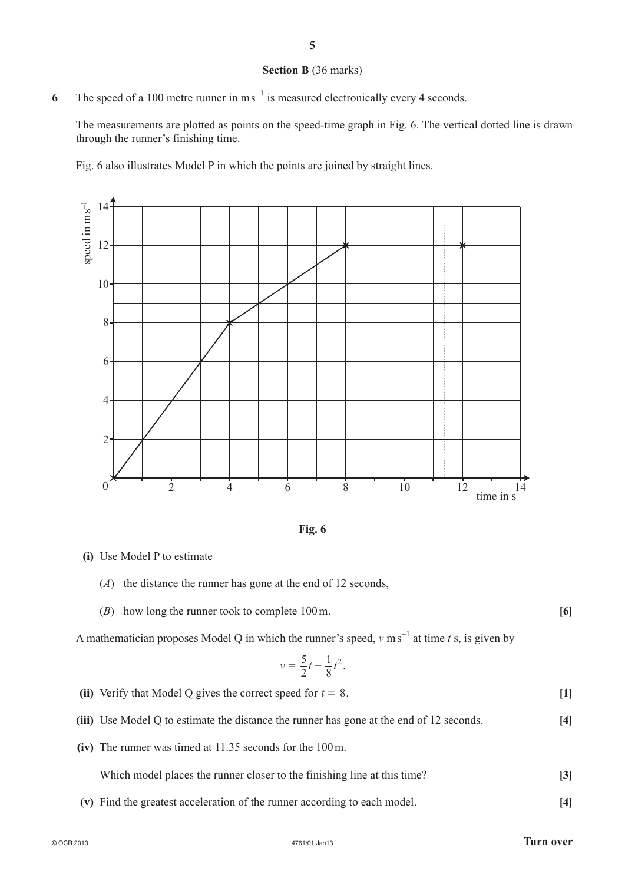#### **Section B** (36 marks)

6 The speed of a 100 metre runner in m s<sup>-1</sup> is measured electronically every 4 seconds.

The measurements are plotted as points on the speed-time graph in Fig. 6. The vertical dotted line is drawn through the runner's finishing time.

Fig. 6 also illustrates Model P in which the points are joined by straight lines.





- **(i)** Use Model P to estimate
	- $(A)$  the distance the runner has gone at the end of 12 seconds,
	- (*B*) how long the runner took to complete 100m. **[6]**

A mathematician proposes Model Q in which the runner's speed,  $v \text{ ms}^{-1}$  at time *t* s, is given by

$$
v = \frac{5}{2}t - \frac{1}{8}t^2.
$$

- **(ii)** Verify that Model Q gives the correct speed for  $t = 8$ . **[1]**
- **(iii)** Use Model Q to estimate the distance the runner has gone at the end of 12 seconds. **[4]**
- **(iv)** The runner was timed at 11.35 seconds for the 100m.

Which model places the runner closer to the finishing line at this time? **[3]**

**(v)** Find the greatest acceleration of the runner according to each model. **[4]**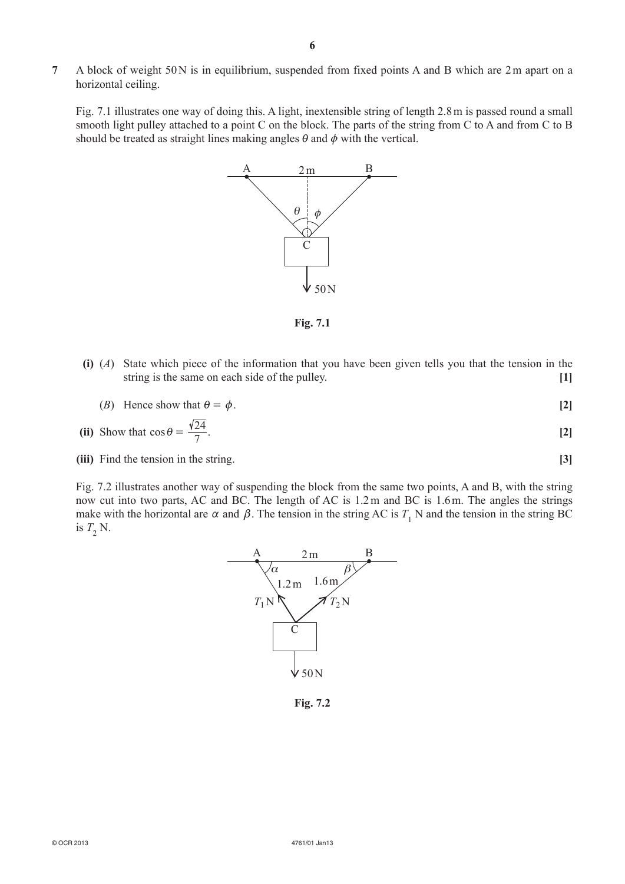**7** A block of weight 50N is in equilibrium, suspended from fixed points A and B which are 2m apart on a horizontal ceiling.

Fig. 7.1 illustrates one way of doing this. A light, inextensible string of length 2.8m is passed round a small smooth light pulley attached to a point C on the block. The parts of the string from C to A and from C to B should be treated as straight lines making angles  $\theta$  and  $\phi$  with the vertical.



**Fig. 7.1**

- **(i)** (*A*) State which piece of the information that you have been given tells you that the tension in the string is the same on each side of the pulley. **[1]**
	- (*B*) Hence show that  $\theta = \phi$ . [2]

(ii) Show that 
$$
\cos \theta = \frac{\sqrt{24}}{7}
$$
. [2]

**(iii)** Find the tension in the string. **[3]**

Fig. 7.2 illustrates another way of suspending the block from the same two points, A and B, with the string now cut into two parts, AC and BC. The length of AC is 1.2m and BC is 1.6m. The angles the strings make with the horizontal are  $\alpha$  and  $\beta$ . The tension in the string AC is  $T_1$  N and the tension in the string BC is  $T_2$  N.



**Fig. 7.2**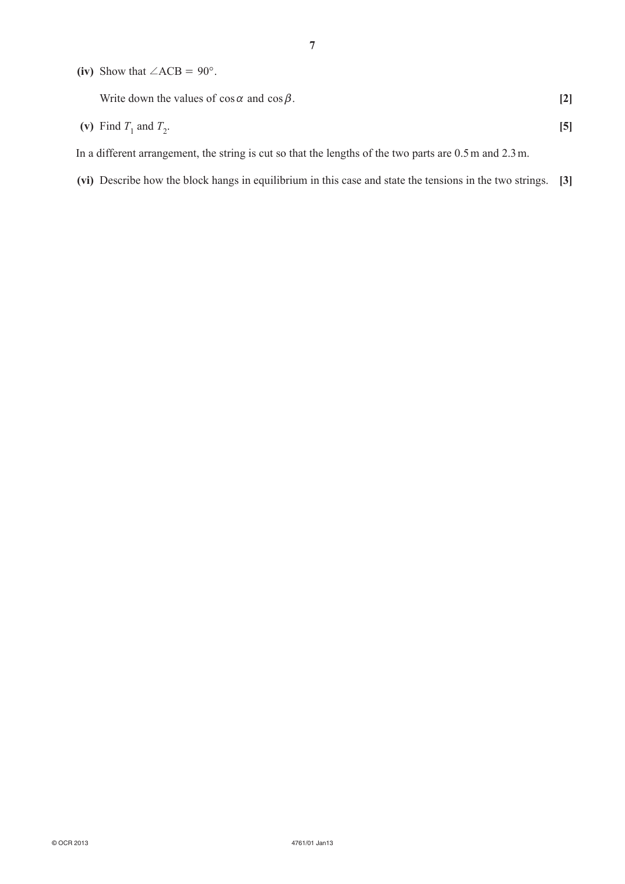(iv) Show that  $\angle ACB = 90^\circ$ .

| Write down the values of $\cos \alpha$ and $\cos \beta$ . |  |
|-----------------------------------------------------------|--|
| (v) Find $T_1$ and $T_2$ .                                |  |

In a different arrangement, the string is cut so that the lengths of the two parts are 0.5m and 2.3m.

**(vi)** Describe how the block hangs in equilibrium in this case and state the tensions in the two strings. **[3]**